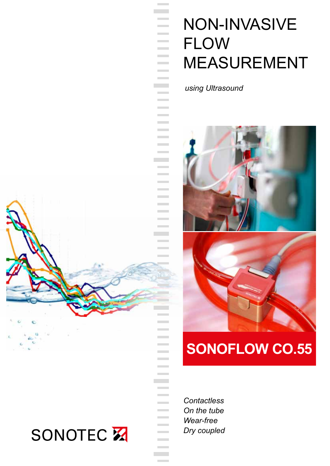## Non-INVASIVE **FLOW MEASUREMENT**

*using Ultrasound*

**College Contract Contract** 

> **Contract College College Contract Contract Contract Contract Contract Contract**

**Contract College Contract** 



### **SONOFLOW CO.55**

*Contactless On the tube Wear-free Dry coupled*

**Contract Contract Contract Contract Contract Contract Contract Contract College Contract Contract** 

> **Contract**

**Contract Contract** 



# **SONOTEC X**